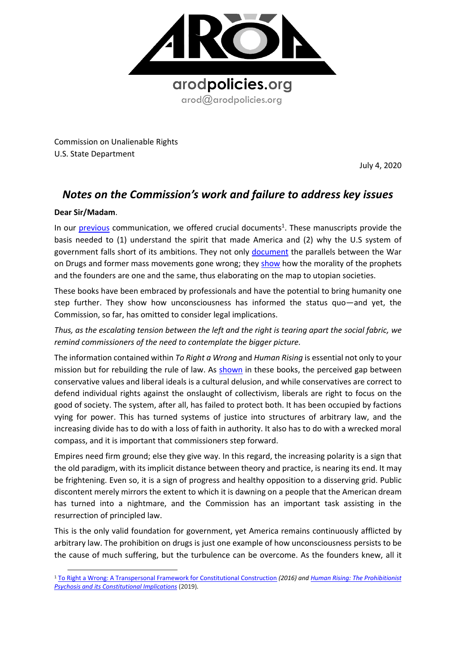

Commission on Unalienable Rights U.S. State Department

July 4, 2020

## *Notes on the Commission's work and failure to address key issues*

## **Dear Sir/Madam**.

In our **[previous](https://8c75b10d-e0b1-4d25-99ed-609c80001c6c.filesusr.com/ugd/a479b9_e517c563a6774777a751d96a560cdf34.pdf)** communication, we offered crucial documents<sup>1</sup>. These manuscripts provide the basis needed to (1) understand the spirit that made America and (2) why the U.S system of government falls short of its ambitions. They not only [document](https://knowmadinstitut.org/2019/07/the-prohibitionist-psychosis-and-its-constitutional-implications/) the parallels between the War on Drugs and former mass movements gone wrong; they [show](https://8c75b10d-e0b1-4d25-99ed-609c80001c6c.filesusr.com/ugd/a479b9_98a77d1d408c4130980f3b8900bba61f.pdf) how the morality of the prophets and the founders are one and the same, thus elaborating on the map to utopian societies.

These books have been embraced by professionals and have the potential to bring humanity one step further. They show how unconsciousness has informed the status quo—and yet, the Commission, so far, has omitted to consider legal implications.

*Thus, as the escalating tension between the left and the right is tearing apart the social fabric, we remind commissioners of the need to contemplate the bigger picture.*

The information contained within *To Right a Wrong* and *Human Rising* is essential not only to your mission but for rebuilding the rule of law. As [shown](https://8c75b10d-e0b1-4d25-99ed-609c80001c6c.filesusr.com/ugd/a479b9_98a77d1d408c4130980f3b8900bba61f.pdf) in these books, the perceived gap between conservative values and liberal ideals is a cultural delusion, and while conservatives are correct to defend individual rights against the onslaught of collectivism, liberals are right to focus on the good of society. The system, after all, has failed to protect both. It has been occupied by factions vying for power. This has turned systems of justice into structures of arbitrary law, and the increasing divide has to do with a loss of faith in authority. It also has to do with a wrecked moral compass, and it is important that commissioners step forward.

Empires need firm ground; else they give way. In this regard, the increasing polarity is a sign that the old paradigm, with its implicit distance between theory and practice, is nearing its end. It may be frightening. Even so, it is a sign of progress and healthy opposition to a disserving grid. Public discontent merely mirrors the extent to which it is dawning on a people that the American dream has turned into a nightmare, and the Commission has an important task assisting in the resurrection of principled law.

This is the only valid foundation for government, yet America remains continuously afflicted by arbitrary law. The prohibition on drugs is just one example of how unconsciousness persists to be the cause of much suffering, but the turbulence can be overcome. As the founders knew, all it

<sup>1</sup> [To Right a Wrong: A Transpersonal Framework for Constitutional Construction](https://www.amazon.com/Right-Wrong-Transpersonal-Constitutional-Construction/dp/1536941123) *(2016) an[d Human Rising: The Prohibitionist](https://www.amazon.com/Human-Rising-Prohibitionist-Constitutional-Implications/dp/1723078301/ref=sr_1_1?dchild=1&keywords=human+rising+mikalsen&qid=1593520540&sr=8-1)  [Psychosis and its Constitutional Implications](https://www.amazon.com/Human-Rising-Prohibitionist-Constitutional-Implications/dp/1723078301/ref=sr_1_1?dchild=1&keywords=human+rising+mikalsen&qid=1593520540&sr=8-1)* (2019)*.*